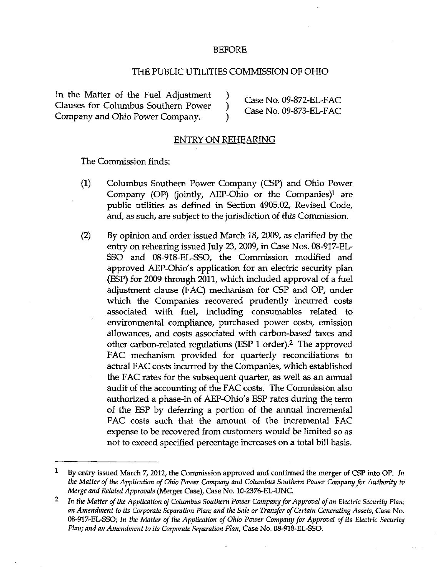## BEFORE

# THE PUBLIC UTILITIES COMMISSION OF OHIO

In the Matter of the Fuel Adjustment )  $\qquad \qquad$  Case No. 09-872-EL-FAC Clauses for Columbus Southern Power ) Case No. 09-873-EL-FAC Company and Ohio Power Company. Company and Ohio Power Company  $\overrightarrow{\text{Case No. 09-873-EL-FAC}}$ Company and Ohio Power Company.

# ENTRY ON REHEARING

The Commission finds:

- (1) Columbus Southern Power Company (CSP) and Ohio Power Company (OP) (jointly, AEP-Ohio or the Companies)<sup>1</sup> are public utilities as defined in Section 4905.02, Revised Code, and, as such, are subject to the jurisdiction of this Commission.
- (2) By opinion and order issued March 18, 2009, as clarified by the entry on rehearing issued July 23, 2009, in Case Nos. 08-917-EL-SSO and 08-918-EL-SSO, the Commission modified and approved AEP-Ohio's application for an electric security plan (ESP) for 2009 through 2011, which included approval of a fuel adjustment clause (FAC) mechanism for CSP and OP, under which the Companies recovered prudently incurred costs associated with fuel, including consumables related to environmental compliance, purchased power costs, emission allowances, and costs associated with carbon-based taxes and other carbon-related regulations (ESP 1 order).<sup>2</sup> The approved FAC mechanism provided for quarterly reconciliations to actual FAC costs incurred by the Companies, which established the FAC rates for the subsequent quarter, as well as an annual audit of the accounting of the FAC costs. The Commission also authorized a phase-in of AEP-Ohio's ESP rates during the term of the ESP by deferring a portion of the annual incremental FAC costs such that the amount of the incremental FAC expense to be recovered from customers would be limited so as not to exceed specified percentage increases on a total bill basis.

 $\mathbf{1}$ By entry issued March 7, 2012, the Commission approved and confirmed the merger of CSP into OP. In the Matter of the Application of Ohio Power Company and Columbus Southern Power Company for Authority to Merge and Related Approvals (Merger Case), Case No. 10-2376-EL-UNC.

 $\overline{\mathbf{2}}$ In the Matter of the Application of Columbus Southern Power Company for Approval of an Electric Security Plan; an Amendment to its Corporate Separation Plan; and the Sale or Transfer of Certain Generating Assets, Case No. 08-917-EL-SSO; In the Matter of the Application of Ohio Power Company for Approval of its Electric Security Plan; and an Amendment to its Corporate Separation Plan, Case No. 08-918-EL-SSO.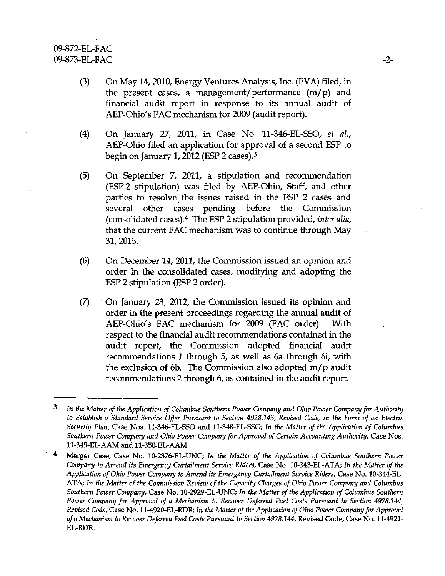- (3) On May 14,2010, Energy Ventures Analysis, Inc. (EVA) filed, in the present cases, a management/performance  $(m/p)$  and financial audit report in response to its annual audit of AEP-Ohio's FAC mechanism for 2009 (audit report).
- (4) On January 27, 2011, in Case No. 11-346-EL-SSO, et al, AEP-Ohio filed an application for approval of a second ESP to begin on January 1, 2012 (ESP 2 cases). $3$
- (5) On September 7, 2011, a stipulation and recommendation (ESP 2 stipulation) was filed by AEP-Ohio, Staff, and other parties to resolve the issues raised in the ESP 2 cases and several other cases pending before the Commission (consolidated cases). $4$  The ESP 2 stipulation provided, inter alia, that the current FAC mechanism was to continue through May 31,2015.
- (6) On December 14, 2011, the Commission issued an opinion and order in the consolidated cases, modifying and adopting the ESP 2 stipulation (ESP 2 order).
- $(7)$  On January 23, 2012, the Commission issued its opinion and order in the present proceedings regarding the annual audit of AEP-Ohio's FAC mechanism for 2009 (FAC order). With respect to the financial audit recommendations contained in the audit report, the Commission adopted financial audit recommendations 1 through 5, as well as 6a through 6i, with the exclusion of 6b. The Commission also adopted m/p audit recommendations 2 through 6, as contained in the audit report.

<sup>3</sup> In the Matter of the Application of Columbus Southern Power Company and Ohio Power Company for Authority to Establish a Standard Service Offer Pursuant to Section 4928.143, Revised Code, in the Form of an Electric Security Plan, Case Nos. 11-346-EL-SSO and 11-348-EL-SSO; In the Matter of the Application of Columbus Southern Power Company and Ohio Power Company for Approval of Certain Accounting Authority, Case Nos. 11-349-EL-AAM and 11-350-EL-AAM.

<sup>4</sup> Merger Case, Case No. 10-2376-EL-UNC; In the Matter of the Application of Columbus Southern Power Company to Amend its Emergency Curtailment Service Riders, Case No. 10-343-EL-ATA; In the Matter of the Application of Ohio Power Company to Amend its Emergency Curtailment Service Riders, Case No. 10-344-EL-ATA; In the Matter of the Commission Review of the Capacity Charges of Ohio Power Company and Columbus Southern Power Company, Case No. 10-2929-EL-UNC; In the Matter of the Application of Columbus Southern Power Company for Approval of a Mechanism to Recover Deferred Fuel Costs Pursuant to Section 4928.144, Revised Code, Case No. 11-4920-EL-RDR; In the Matter of the Application of Ohio Power Company for Approval of a Mechanism to Recover Deferred Fuel Costs Pursuant to Section 4928.144, Revised Code, Case No. 11-4921- EL-RDR.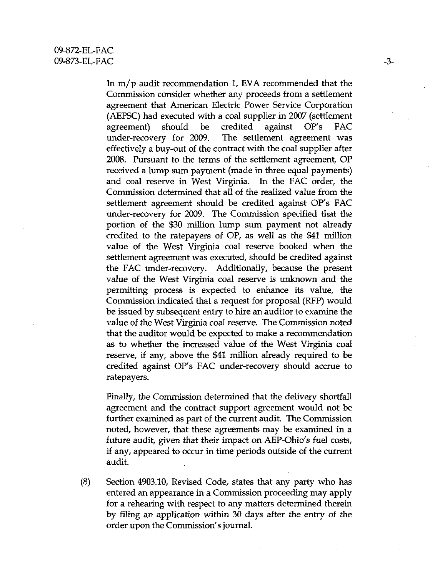In m/p audit recommendation 1, EVA recommended that the Commission consider whether any proceeds from a settlement agreement that American Electric Power Service Corporation (AEPSC) had executed with a coal supplier in 2007 (settlement agreement) should be credited against OP's FAC under-recovery for 2009. The settlement agreement was effectively a buy-out of the contract with the coal supplier after 2008. Pursuant to the terms of the settlement agreement, OP received a lump sum payment (made in three equal payments) and coal reserve in West Virginia. In the FAC order, the Commission determined that all of the realized value from the settlement agreement should be credited against OP's FAC under-recovery for 2009. The Commission specified that the portion of the \$30 million lump sum payment not already credited to the ratepayers of OP, as well as the \$41 million value of the West Virginia coal reserve booked when the settlement agreement was executed, should be credited against the FAC under-recovery. Additionally, because the present value of the West Virginia coal reserve is unknown and the permitting process is expected to enhance its value, the Commission indicated that a request for proposal (RFP) would be issued by subsequent entiy to hire an auditor to examine the value of the West Virginia coal reserve. The Commission noted that the auditor would be expected to make a recommendation as to whether the increased value of the West Virginia coal reserve, if any, above the \$41 million already required to be credited against OP's FAC under-recovery should accrue to ratepayers.

Finally, the Commission determined that the delivery shortfall agreement and the contract support agreement would not be further examined as part of the current audit. The Commission noted, however, that these agreements may be examined in a future audit, given that their impact on AEP-Ohio's fuel costs, if any, appeared to occur in time periods outside of the current audit.

(8) Section 4903.10, Revised Code, states that any party who has entered an appearance in a Commission proceeding may apply for a rehearing with respect to any matters determined therein by filing an application within 30 days after the entry of the order upon the Commission's journal.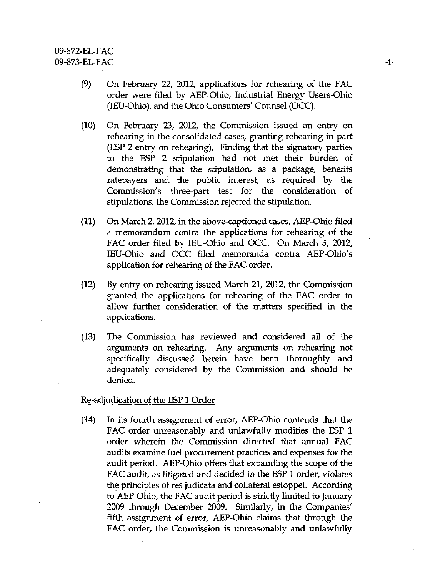- (9) On February 22, 2012, applications for rehearing of the FAC order were filed by AEP-Ohio, Industiial Energy Users-Ohio (lEU-Ohio), and the Ohio Consumers' Counsel (OCC).
- (10) On February 23, 2012, the Commission issued an entiy on rehearing in the consolidated cases, granting rehearing in part (ESP 2 entry on rehearing). Finding that the signatory parties to the ESP 2 stipulation had not met their burden of demonstrating that the stipulation, as a package, benefits ratepayers and the public interest, as required by the Commission's three-part test for the consideration of stipulations, the Commission rejected the stipulation.
- (11) On March 2,2012, in the above-captioried cases, AEP-Ohio filed a memorandum contra the applications for rehearing of the FAC order filed by lEU-Ohio and OCC. On March 5, 2012, IEU-Ohio and OCC filed memoranda contra AEP-Ohio's application for rehearing of the FAC order.
- (12) By entiy on rehearing issued March 21, 2012, the Commission granted the applications for rehearing of the FAC order to allow further consideration of the matters specified in the applications.
- (13) The Commission has reviewed and considered all of the arguments on rehearing. Any arguments on rehearing not specifically discussed herein have been thoroughly and adequately considered by the Commission and should be denied.

Re-adjudication of the ESP 1 Order

(14) In its fourth assignment of error, AEP-Ohio contends that the FAC order unreasonably and unlawfully modifies the ESP 1 order wherein the Commission directed that annual FAC audits examine fuel procurement practices and expenses for the audit period. AEP-Ohio offers that expanding the scope of the FAC audit, as litigated and decided in the ESP 1 order, violates the principles of res judicata and collateral estoppel. According to AEP-Ohio, the FAC audit period is strictly limited to January 2009 through December 2009. Similarly, in the Companies' fifth assignment of error, AEP-Ohio claims that through the FAC order, the Commission is unreasonably and unlawfully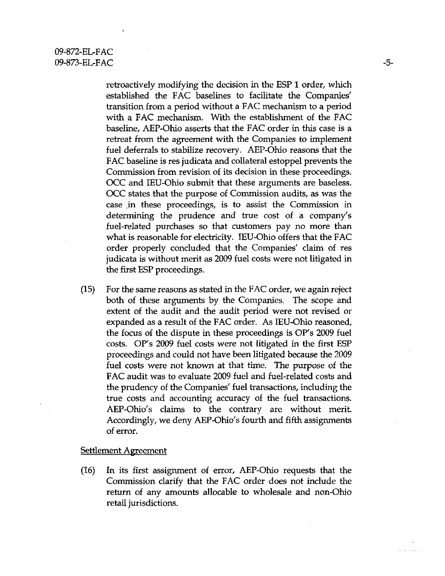retroactively modifying the decision in the ESP 1 order, which established the FAC baselines to facilitate the Companies' transition from a period without a FAC mechanism to a period with a FAC mechanism. With the establishment of the FAC baseline, AEP-Ohio asserts that the FAC order in this case is a retreat from the agreement with the Companies to implement fuel deferrals to stabilize recovery. AEP-Ohio reasons that the FAC baseline is res judicata and collateral estoppel prevents the Commission from revision of its decision in these proceedings. OCC and lEU-Ohio submit that these arguments are baseless. OCC states that the purpose of Commission audits, as was the case in these proceedings, is to assist the Commission in determining the prudence and true cost of a company's fuel-related purchases so that customers pay no more than what is reasonable for electricity. IEU-Ohio offers that the FAC order properly concluded that the Companies' claim of res judicata is without merit as 2009 fuel costs were not litigated in the first ESP proceedings.

(15) For the same reasons as stated in the FAC order, we again reject both of these arguments by the Companies. The scope and extent of the audit and the audit period were not revised or expanded as a result of the FAC order. As lEU-Ohio reasoned, the focus of the dispute in these proceedings is OP's 2009 fuel costs. OP's 2009 fuel costs were not litigated in the first ESP proceedings and could not have been litigated because the 2009 fuel costs were not known at that time. The purpose of the FAC audit was to evaluate 2009 fuel and fuel-related costs and the prudency of the Companies' fuel transactions, including the true costs and accounting accuracy of the fuel transactions. AEP-Ohio's claims to the contrary are without merit. Accordingly, we deny AEP-Ohio's fourth and fifth assignments of error.

# Settlement Agreement

(16) In its first assignment of error, AEP-Ohio requests that the Commission clarify that the FAC order does not include the return of any amounts allocable to wholesale and non-Ohio retail jurisdictions.

and a state of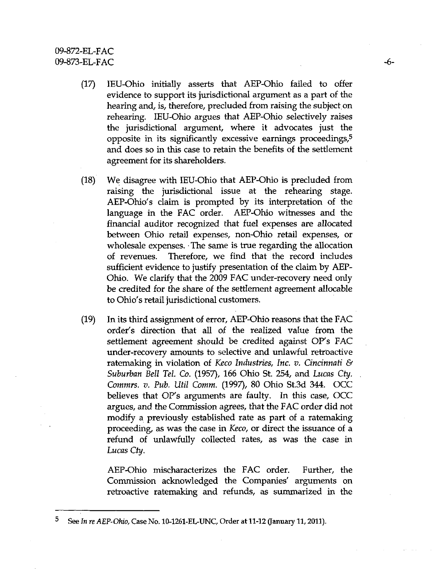- (17) lEU-Ohio initially asserts that AEP-Ohio failed to offer evidence to support its jurisdictional argument as a part of the hearing and, is, therefore, precluded from raising the subject on rehearing. lEU-Ohio argues that AEP-Ohio selectively raises the jurisdictional argument, where it advocates just the opposite in its significantly excessive earnings proceedings, $5$ and does so in this case to retain the benefits of the settlement agreement for its shareholders.
- (18) We disagree with lEU-Ohio that AEP-Ohio is precluded from raising the jurisdictional issue at the rehearing stage. AEP-Ohio's claim is prompted by its interpretation of the language in the FAC order. AEP-Ohio witnesses and the financial auditor recognized that fuel expenses are allocated between Ohio retail expenses, non-Ohio retail expenses, or wholesale expenses. The same is true regarding the allocation of revenues. Therefore, we find that the record includes sufficient evidence to justify presentation of the claim by AEP-Ohio. We clarify that the 2009 FAC under-recovery need only be credited for the share of the settlement agreement allocable to Ohio's retail jurisdictional customers.
- (19) In its third assignment of error, AEP-Ohio reasons that the FAC order's direction that all of the realized value from the settlement agreement should be credited against OP's FAC under-recovery amounts to selective and unlawful retroactive ratemaking in violation of Keco Industries, Inc. v. Cincinnati  $\mathcal{C}$ Suburban Bell Tel. Co. (1957), 166 Ohio St. 254, and Lucas Cty. . Commrs. v. Pub. Util Comm. (1997), 80 Ohio St.3d 344. OCC believes that OP's arguments are faulty. In this case, OCC argues, and the Commission agrees, that the FAC order did not modify a previously established rate as part of a ratemaking proceeding, as was the case in Keco, or direct the issuance of a refund of unlawfully collected rates, as was the case in Lucas Cty.

AEP-Ohio mischaracterizes the FAC order. Further, the Commission acknowledged the Companies' arguments on retroactive ratemaking and refunds, as summarized in the

<sup>5</sup> See In re AEP-Ohio, Case No. 10-1261-EL-UNC, Order at 11-12 (January 11,2011).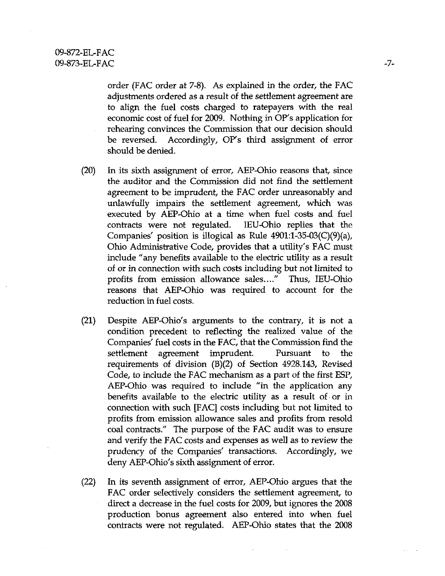order (FAC order at 7-8). As explained in the order, the FAC adjustments ordered as a result of the settlement agreement are to align the fuel costs charged to ratepayers with the real economic cost of fuel for 2009. Nothing in OP's application for rehearing convinces the Commission that our decision should be reversed. Accordingly, OP's third assignment of error should be denied.

- (20) In its sixth assignment of error, AEP-Ohio reasons that, since the auditor and the Commission did not find the settlement agreement to be imprudent, the FAC order unreasonably and unlawfully impairs the settlement agreement, which was executed by AEP-Ohio at a time when fuel costs and fuel contracts were not regulated. IEU-Ohio replies that the Companies' position is illogical as Rule 4901:l-35-03(C)(9)(a), Ohio Administrative Code, provides that a utility's FAC must include "any benefits available to the electric utility as a result of or in connection with such costs including but not limited to profits from emission allowance sales...." Thus, lEU-Ohio reasons that AEP-Ohio was required to account for the reduction in fuel costs.
- (21) Despite AEP-Ohio's arguments to the contrary, it is not a condition precedent to reflecting the realized value of the Companies' fuel costs in the FAC, that the Commission find the settlement agreement imprudent. Pursuant to the requirements of division (B)(2) of Section 4928.143, Revised Code, to include the FAC mechanism as a part of the first ESP, AEP-Ohio was required to include "in the application any benefits available to the electric utility as a result of or in cormection with such [FAC] costs including but not limited to profits from emission allowance sales and profits from resold coal contracts." The purpose of the FAC audit was to ensure and verify the FAC costs and expenses as well as to review the prudency of the Companies' transactions. Accordingly, we deny AEP-Ohio's sixth assignment of error.
- (22) In its seventh assignment of error, AEP-Ohio argues that the FAC order selectively considers the settlement agreement, to direct a decrease in the fuel costs for 2009, but ignores the 2008 production bonus agreement also entered into when fuel contracts were not regulated. AEP-Ohio states that the 2008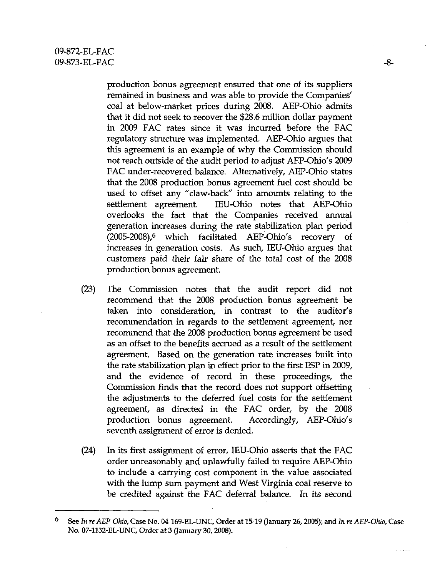production bonus agreement ensured that one of its suppliers remained in business and was able to provide the Companies' coal at below-market prices during 2008. AEP-Ohio admits that it did not seek to recover the \$28.6 million dollar payment in 2009 FAC rates since it was incurred before the FAC regulatory structure was implemented. AEP-Ohio argues that this agreement is an example of why the Commission should not reach outside of the audit period to adjust AEP-Ohio's 2009 FAC under-recovered balance. Alternatively, AEP-Ohio states that the 2008 production bonus agreement fuel cost should be used to offset any "claw-back" into amounts relating to the settlement agreement. IEU-Ohio notes that AEP-Ohio overlooks the fact that the Companies received armual generation increases during the rate stabilization plan period (2005-2008),6 which facilitated AEP-Ohio's recovery of increases in generation costs. As such, lEU-Ohio argues that customers paid their fair share of the total cost of the 2008 production bonus agreement.

- (23) The Commission notes that the audit report did not recommend that the 2008 production bonus agreement be taken into consideration, in contrast to the auditor's recommendation in regards to the settlement agreement, nor recommend that the 2008 production bonus agreement be used as an offset to the benefits accrued as a result of the settlement agreement. Based on the generation rate increases built into the rate stabilization plan in effect prior to the first ESP in 2009, and the evidence of record in these proceedings, the Commission finds that the record does not support offsetting the adjustments to the deferred fuel costs for the settlement agreement, as directed in the FAC order, by the 2008 production bonus agreement. Accordingly, AEP-Ohio's seventh assignment of error is denied.
- (24) In its first assignment of error, lEU-Ohio asserts that the FAC order unreasonably and unlawfully failed to require AEP-Ohio to include a carrying cost component in the value associated with the lump sum payment and West Virginia coal reserve to be credited against the FAC deferral balance. In its second

<sup>6</sup> See In re AEP-Ohio, Case No. 04-169-EL-UNC, Order at 15-19 (January 26,2005); and In re AEP-Ohio, Case No. 07-1132-EL-UNC, Order at 3 (January 30,2008).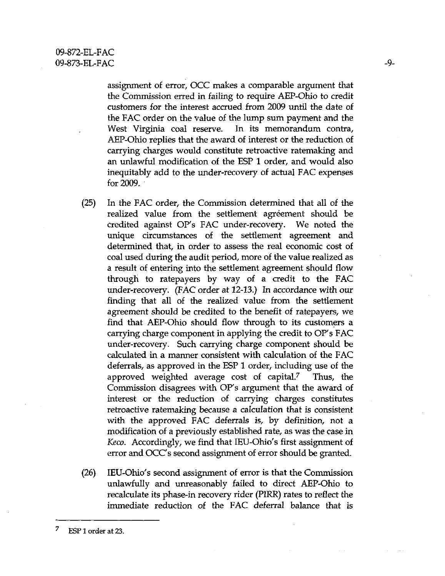assignment of error, OCC makes a comparable argument that the Commission erred in failing to require AEP-Ohio to credit customers for the interest accrued from 2009 until the date of the FAC order on the value of the lump sum payment and the West Virginia coal reserve. In its memorandum contra, AEP-Ohio replies that the award of interest or the reduction of carrying charges would constitute retroactive ratemaking and an unlawful modification of the ESP 1 order, and would also inequitably add to the under-recovery of actual FAC expenses for  $2009$ .

- (25) In the FAC order, the Commission determined that all of the realized value from the settlement agreement should be credited against OP's FAC under-recovery. We noted the unique circumstances of the settlement agreement and determined that, in order to assess the real economic cost of coal used during the audit period, more of the value realized as a result of entering into the settlement agreement should flow through to ratepayers by way of a credit to the FAC under-recovery. (FAC order at 12-13.) In accordance with our finding that all of the realized value from the settlement agreement should be credited to the benefit of ratepayers, we find that AEP-Ohio should flow through to its customers a carrying charge component in applying the credit to OP's FAC under-recovery. Such carrying charge component should be calculated in a manner consistent with calculation of the FAC deferrals, as approved in the ESP 1 order, including use of the approved weighted average cost of capital.<sup>7</sup> Thus, the Commission disagrees with OP's argument that the award of interest or the reduction of carrying charges constitutes retroactive ratemaking because a calculation that is consistent with the approved FAC deferrals is, by definition, not a modification of a previously established rate, as was the case in Keco. Accordingly, we find that lEU-Ohio's first assignment of error and OCC's second assignment of error should be granted.
- (26) lEU-Ohio's second assignment of error is that the Commission unlawfully and unreasonably failed to direct AEP-Ohio to recalculate its phase-in recovery rider (PIRR) rates to reflect the immediate reduction of the FAC deferral balance that is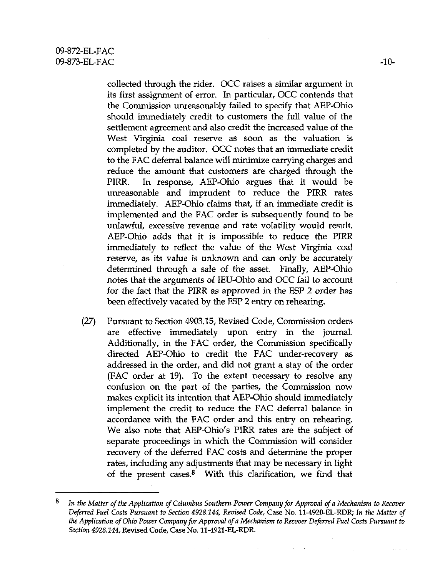collected through the rider. OCC raises a similar argument in its first assignment of error. In particular, OCC contends that the Commission unreasonably failed to specify that AEP-Ohio should immediately credit to customers the full value of the settlement agreement and also credit the increased value of the West Virginia coal reserve as soon as the valuation is completed by the auditor. OCC notes that an immediate credit to the FAC deferral balance will minimize carrying charges and reduce the amount that customers are charged through the PIRR. In response, AEP-Ohio argues that it would be unreasonable and imprudent to reduce the PIRR rates immediately. AEP-Ohio claims that, if an immediate credit is implemented and the FAC order is subsequently found to be unlawful, excessive revenue and rate volatility would result. AEP-Ohio adds that it is impossible to reduce the PIRR immediately to reflect the value of the West Virginia coal reserve, as its value is unknown and can only be accurately determined through a sale of the asset. Finally, AEP-Ohio notes that the arguments of lEU-Ohio and OCC fail to account for the fact that the PIRR as approved in the ESP 2 order has been effectively vacated by the ESP 2 entry on rehearing.

(27) Pursuant to Section 4903.15, Revised Code, Commission orders are effective immediately upon entry in the journal. Additionally, in the FAC order, the Commission specifically directed AEP-Ohio to credit the FAC under-recovery as addressed in the order, and did not grant a stay of the order (FAC order at 19). To the extent necessary to resolve any confusion on the part of the parties, the Commission now makes explicit its intention that AEP-Ohio should immediately implement the credit to reduce the FAC deferral balance in accordance with the FAC order and this entry on rehearing. We also note that AEP-Ohio's PIRR rates are the subject of separate proceedings in which the Commission will consider recovery of the deferred FAC costs and determine the proper rates, including any adjustments that may be necessary in light of the present cases. $8$  With this clarification, we find that

 $\Delta\sim 10$ 

 $\mathcal{L}^{\text{c}}\left(\mathcal{L}\right)$  .

 $8$  In the Matter of the Application of Columbus Southern Power Company for Approval of a Mechanism to Recover Deferred Fuel Costs Pursuant to Section 4928.144, Revised Code, Case No. 11-4920-EL-RDR; In the Matter of the Application of Ohio Power Company for Approval of a Mechanism to Recover Deferred Fuel Costs Pursuant to Section 4928.144, Revised Code, Case No. 11-4921-EL-RDR.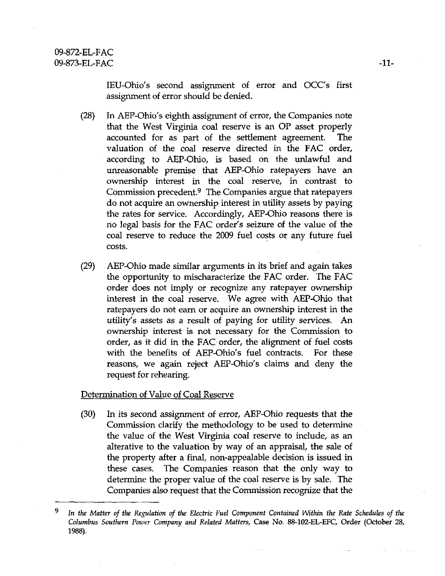lEU-Ohio's second assigrunent of error and OCC's first assignment of error should be denied.

- (28) In AEP-Ohio's eighth assignment of error, the Companies note that the West Virginia coal reserve is an OP asset properly accounted for as part of the settlement agreement. The valuation of the coal reserve directed in the FAC order, according to AEP-Ohio, is based on the unlawful and unreasonable premise that AEP-Ohio ratepayers have an ownership interest in the coal reserve, in contrast to Commission precedent.<sup>9</sup> The Companies argue that ratepayers do not acquire an ownership interest in utility assets by paying the rates for service. Accordingly, AEP-Ohio reasons there is no legal basis for the FAC order's seizure of the value of the coal reserve to reduce the 2009 fuel costs or any future fuel costs.
- (29) AEP-Ohio made similar arguments in its brief and again takes the opportunity to mischaracterize the FAC order. The FAC order does not imply or recognize any ratepayer ownership interest in the coal reserve. We agree with AEP-Ohio that ratepayers do not earn or acquire an ownership interest in the utility's assets as a result of paying for utility services. An ownership interest is not necessary for the Commission to order, as it did in the FAC order, the alignment of fuel costs with the benefits of AEP-Ohio's fuel contracts. For these reasons, we again reject AEP-Ohio's claims and deny the request for rehearing.

Determination of Value of Coal Reserve

(30) In its second assigrunent of error, AEP-Ohio requests that the Commission clarify the methodology to be used to determine the value of the West Virginia coal reserve to include, as an alterative to the valuation by way of an appraisal, the sale of the property after a final, non-appealable decision is issued in these cases. The Companies reason that the only way to determine the proper value of the coal reserve is by sale. The Companies also request that the Commission recognize that the

 $\alpha$  ,  $\alpha$  ,  $\alpha$ 

<sup>9</sup> In the Matter of the Regulation of the Electric Fuel Component Contained Within the Rate Schedules of the Columbus Southern Power Company and Related Matters, Case No. 88-102-EL-EFC, Order (October 28, 1988).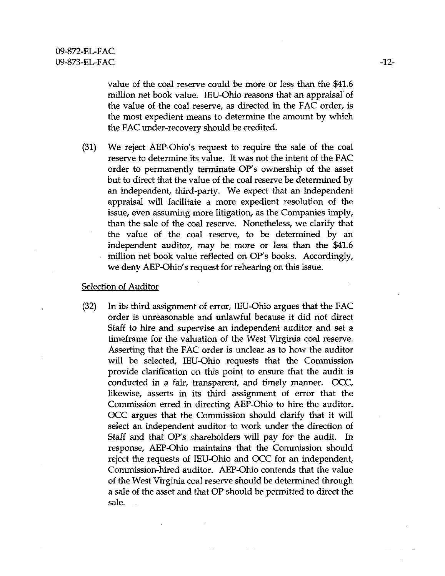value of the coal reserve could be more or less than the \$41.6 million net book value. lEU-Ohio reasons that an appraisal of the value of the coal reserve, as directed in the FAC order, is the most expedient means to determine the amount by which the FAC under-recovery should be credited.

(31) We reject AEP-Ohio's request to require the sale of the coal reserve to determine its value. It was not the intent of the FAC order to permanently terminate OP's ownership of the asset but to direct that the value of the coal reserve be determined by an independent, third-party. We expect that an independent appraisal will facilitate a more expedient resolution of the issue, even assuming more litigation, as the Companies imply, than the sale of the coal reserve. Nonetheless, we clarify that the value of the coal reserve, to be determined by an independent auditor, may be more or less than the \$41.6 million net book value reflected on OP's books. Accordingly, we deny AEP-Ohio's request for rehearing on this issue.

## Selection of Auditor

(32) In its third assignment of error, lEU-Ohio argues that the FAC order is unreasonable and unlawful because it did not direct Staff to hire and supervise an independent auditor and set a timeframe for the valuation of the West Virginia coal reserve. Asserting that the FAC order is unclear as to how the auditor will be selected, lEU-Ohio requests that the Commission provide clarification on this point to ensure that the audit is conducted in a fair, transparent, and timely manner. OCC, likewise, asserts in its third assignment of error that the Commission erred in directing AEP-Ohio to hire the auditor. OCC argues that the Commission should clarify that it will select an independent auditor to work under the direction of Staff and that OP's shareholders will pay for the audit. In response, AEP-Ohio maintains that the Conunission should reject the requests of lEU-Ohio and OCC for an independent. Commission-hired auditor. AEP-Ohio contends that the value of the West Virginia coal reserve should be determined through a sale of the asset and that OP should be permitted to direct the sale.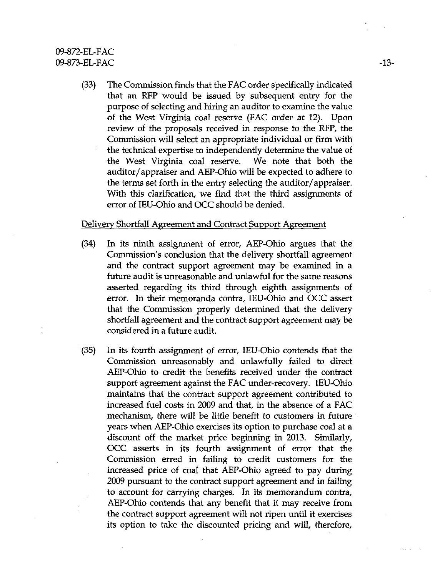# 09-872-EL-FAC 09-873-EL-FAC -13-

(33) The Commission finds that the FAC order specifically indicated that an RFP would be issued by subsequent entiy for the purpose of selecting and hiring an auditor to examine the value of the West Virginia coal reserve (FAC order at 12). Upon review of the proposals received in response to the RFP, the Commission will select an appropriate individual or firm with the technical expertise to independently determine the value of the West Virginia coal reserve. We note that both the auditor/appraiser and AEP-Ohio will be expected to adhere to the terms set forth in the entry selecting the auditor/appraiser. With this clarification, we find that the third assignments of error of lEU-Ohio and OCC should be denied.

### Delivery Shortfall Agreement and Contract Support Agreement

- (34) In its ninth assignment of error, AEP-Ohio argues that the Commission's conclusion that the delivery shortfall agreement and the contract support agreement may be examined in a future audit is unreasonable and unlawful for the same reasons asserted regarding its third through eighth assignments of error. In their memoranda contra, IEU-Ohio and OCC assert that the Commission properly determined that the delivery shortfall agreement and the contract support agreement may be considered in a future audit.
- (35) In its fourth assignment of error, lEU-Ohio contends that the Commission unreasonably and unlawfully failed to direct AEP-Ohio to credit the benefits received under the contract support agreement against the FAC under-recovery. lEU-Ohio maintains that the contract support agreement contributed to increased fuel costs in 2009 and that, in the absence of a FAC mechanism, there will be little benefit to customers in future years when AEP-Ohio exercises its option to purchase coal at a discount off the market price beginning in 2013. Similarly, OCC asserts in its fourth assignment of error that the Commission erred in failing to credit customers for the increased price of coal that AEP-Ohio agreed to pay during 2009 pursuant to the contract support agreement and in failing to account for carrying charges. In its memorandum contra, AEP-Ohio contends that any benefit that it may receive from the contract support agreement will not ripen until it exercises its option to take the discounted pricing and will, therefore.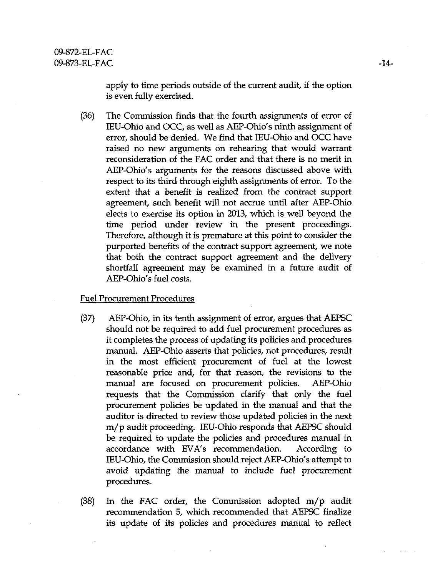apply to time periods outside of the current audit, if the option is even fully exercised.

(36) The Commission finds that the fourth assignments of error of lEU-Ohio and OCC, as well as AEP-Ohio's ninth assignment of error, should be denied. We find that lEU-Ohio and OCC have raised no new arguments on rehearing that would warrant reconsideration of the FAC order and that there is no merit in AEP-Ohio's arguments for the reasons discussed above with respect to its third through eighth assignments of error. To the extent that a benefit is realized from the contract support agreement, such benefit will not accrue until after AEP-Ohio elects to exercise its option in 2013, which is well beyond the time period under review in the present proceedings. Therefore, although it is premature at this point to consider the purported benefits of the contract support agreement, we note that both the contract support agreement and the delivery shortfall agreement may be examined in a future audit of AEP-Ohio's fuel costs.

### Fuel Procurement Procedures

- (37) AEP-Ohio, in its tenth assignment of error, argues that AEPSC should not be required to add fuel procurement procedures as it completes the process of updating its policies and procedures manual. AEP-Ohio asserts that policies, not procedures, result in the most efficient procurement of fuel at the lowest reasonable price and, for that reason, the revisions to the manual are focused on procurement policies. AEP-Ohio requests that the Commission clarify that only the fuel procurement policies be updated in the manual and that the auditor is directed to review those updated policies in the next m/p audit proceeding. lEU-Ohio responds that AEPSC should be required to update the policies and procedures manual in accordance with EVA's recommendation. According to lEU-Ohio, the Commission should reject AEP-Ohio's attempt to avoid updating the manual to include fuel procurement procedures.
- (38) In the FAC order, the Commission adopted m/p audit recommendation 5, which recommended that AEPSC finalize its update of its policies and procedures manual to reflect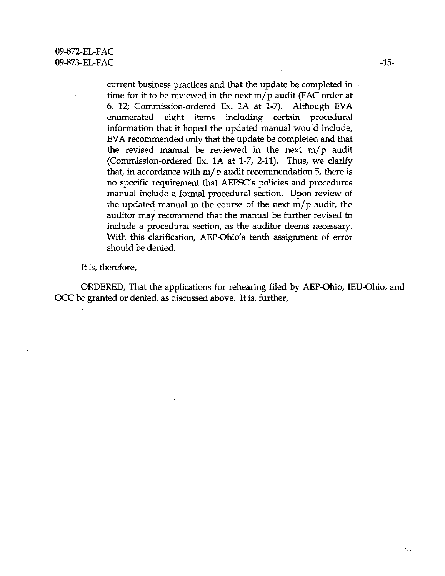current business practices and that the update be completed in time for it to be reviewed in the next m/p audit (FAC order at 6, 12; Commission-ordered Ex. lA at 1-7). Although EVA enumerated eight items including certain procedural information that it hoped the updated manual would include, EVA recommended only that the update be completed and that the revised manual be reviewed in the next m/p audit (Commission-ordered Ex. lA at 1-7, 2-11). Thus, we clarify that, in accordance with  $m/p$  audit recommendation 5, there is no specific requirement that AEPSC's policies and procedures manual include a formal procedural section. Upon review of the updated manual in the course of the next m/p audit, the auditor may recommend that the manual be further revised to include a procedural section, as the auditor deems necessary. With this clarification, AEP-Ohio's tenth assignment of error should be denied.

It is, therefore,

ORDERED, That the applications for rehearing filed by AEP-Ohio, lEU-Ohio, and OCC be granted or denied, as discussed above. It is, further.